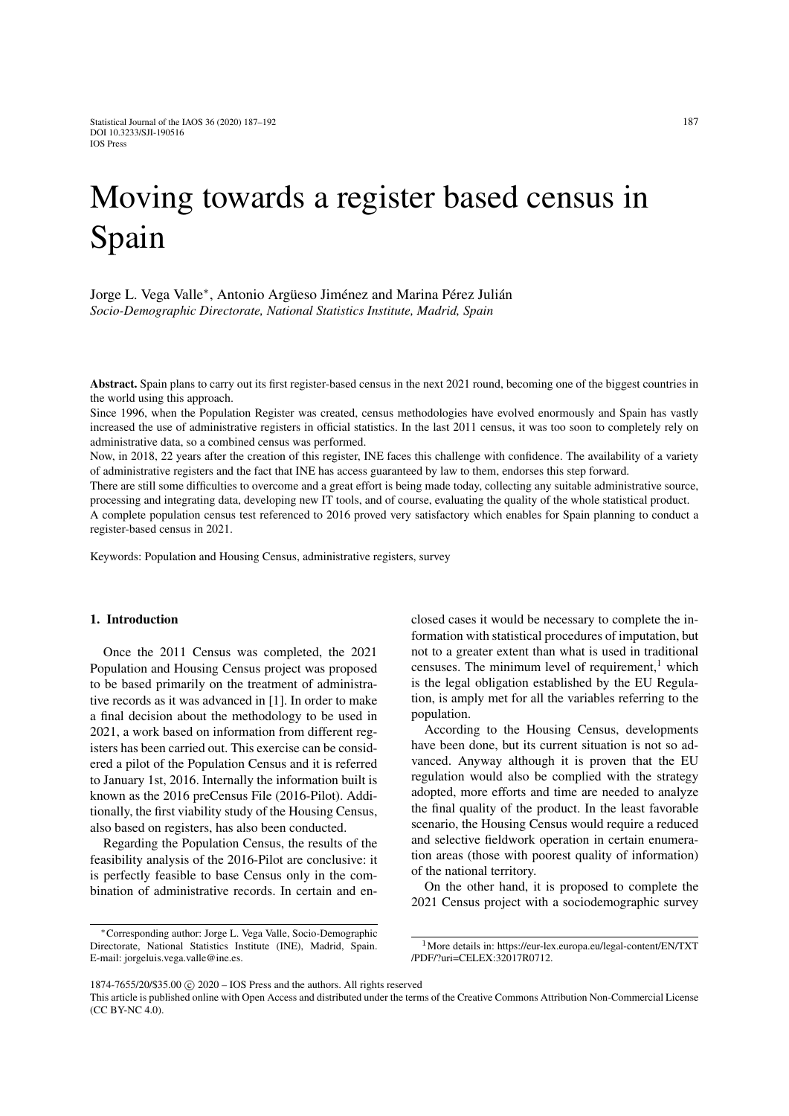# Moving towards a register based census in Spain

Jorge L. Vega Valle<sup>∗</sup> , Antonio Argüeso Jiménez and Marina Pérez Julián *Socio-Demographic Directorate, National Statistics Institute, Madrid, Spain*

Abstract. Spain plans to carry out its first register-based census in the next 2021 round, becoming one of the biggest countries in the world using this approach.

Since 1996, when the Population Register was created, census methodologies have evolved enormously and Spain has vastly increased the use of administrative registers in official statistics. In the last 2011 census, it was too soon to completely rely on administrative data, so a combined census was performed.

Now, in 2018, 22 years after the creation of this register, INE faces this challenge with confidence. The availability of a variety of administrative registers and the fact that INE has access guaranteed by law to them, endorses this step forward.

There are still some difficulties to overcome and a great effort is being made today, collecting any suitable administrative source, processing and integrating data, developing new IT tools, and of course, evaluating the quality of the whole statistical product.

A complete population census test referenced to 2016 proved very satisfactory which enables for Spain planning to conduct a register-based census in 2021.

Keywords: Population and Housing Census, administrative registers, survey

## 1. Introduction

Once the 2011 Census was completed, the 2021 Population and Housing Census project was proposed to be based primarily on the treatment of administrative records as it was advanced in [\[1\]](#page-5-0). In order to make a final decision about the methodology to be used in 2021, a work based on information from different registers has been carried out. This exercise can be considered a pilot of the Population Census and it is referred to January 1st, 2016. Internally the information built is known as the 2016 preCensus File (2016-Pilot). Additionally, the first viability study of the Housing Census, also based on registers, has also been conducted.

Regarding the Population Census, the results of the feasibility analysis of the 2016-Pilot are conclusive: it is perfectly feasible to base Census only in the combination of administrative records. In certain and enclosed cases it would be necessary to complete the information with statistical procedures of imputation, but not to a greater extent than what is used in traditional censuses. The minimum level of requirement, $<sup>1</sup>$  $<sup>1</sup>$  $<sup>1</sup>$  which</sup> is the legal obligation established by the EU Regulation, is amply met for all the variables referring to the population.

According to the Housing Census, developments have been done, but its current situation is not so advanced. Anyway although it is proven that the EU regulation would also be complied with the strategy adopted, more efforts and time are needed to analyze the final quality of the product. In the least favorable scenario, the Housing Census would require a reduced and selective fieldwork operation in certain enumeration areas (those with poorest quality of information) of the national territory.

On the other hand, it is proposed to complete the 2021 Census project with a sociodemographic survey

<sup>∗</sup>Corresponding author: Jorge L. Vega Valle, Socio-Demographic Directorate, National Statistics Institute (INE), Madrid, Spain. E-mail: jorgeluis.vega.valle@ine.es.

<span id="page-0-0"></span><sup>1</sup>More details in: https://eur-lex.europa.eu/legal-content/EN/TXT /PDF/?uri=CELEX:32017R0712.

<sup>1874-7655/20/\$35.00 © 2020 -</sup> IOS Press and the authors. All rights reserved

This article is published online with Open Access and distributed under the terms of the Creative Commons Attribution Non-Commercial License (CC BY-NC 4.0).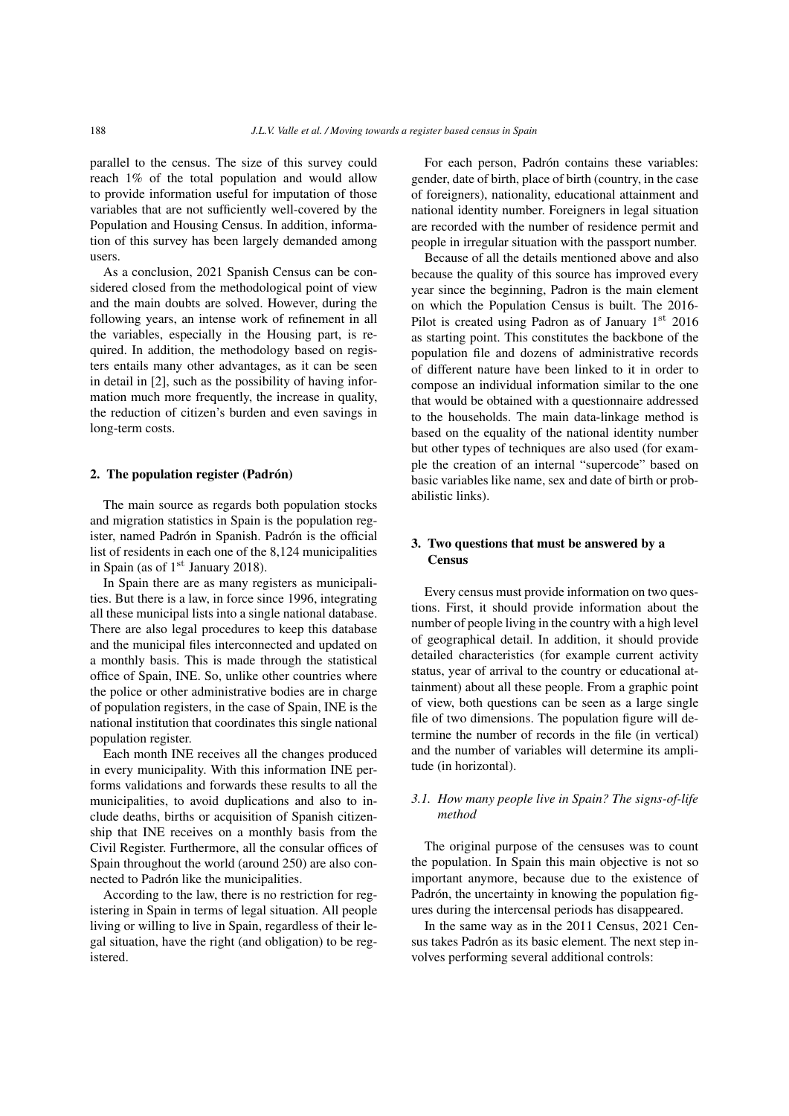parallel to the census. The size of this survey could reach 1% of the total population and would allow to provide information useful for imputation of those variables that are not sufficiently well-covered by the Population and Housing Census. In addition, information of this survey has been largely demanded among users.

As a conclusion, 2021 Spanish Census can be considered closed from the methodological point of view and the main doubts are solved. However, during the following years, an intense work of refinement in all the variables, especially in the Housing part, is required. In addition, the methodology based on registers entails many other advantages, as it can be seen in detail in [\[2\]](#page-5-1), such as the possibility of having information much more frequently, the increase in quality, the reduction of citizen's burden and even savings in long-term costs.

## 2. The population register (Padrón)

The main source as regards both population stocks and migration statistics in Spain is the population register, named Padrón in Spanish. Padrón is the official list of residents in each one of the 8,124 municipalities in Spain (as of  $1<sup>st</sup>$  January 2018).

In Spain there are as many registers as municipalities. But there is a law, in force since 1996, integrating all these municipal lists into a single national database. There are also legal procedures to keep this database and the municipal files interconnected and updated on a monthly basis. This is made through the statistical office of Spain, INE. So, unlike other countries where the police or other administrative bodies are in charge of population registers, in the case of Spain, INE is the national institution that coordinates this single national population register.

Each month INE receives all the changes produced in every municipality. With this information INE performs validations and forwards these results to all the municipalities, to avoid duplications and also to include deaths, births or acquisition of Spanish citizenship that INE receives on a monthly basis from the Civil Register. Furthermore, all the consular offices of Spain throughout the world (around 250) are also connected to Padrón like the municipalities.

According to the law, there is no restriction for registering in Spain in terms of legal situation. All people living or willing to live in Spain, regardless of their legal situation, have the right (and obligation) to be registered.

For each person, Padrón contains these variables: gender, date of birth, place of birth (country, in the case of foreigners), nationality, educational attainment and national identity number. Foreigners in legal situation are recorded with the number of residence permit and people in irregular situation with the passport number.

Because of all the details mentioned above and also because the quality of this source has improved every year since the beginning, Padron is the main element on which the Population Census is built. The 2016- Pilot is created using Padron as of January  $1<sup>st</sup>$  2016 as starting point. This constitutes the backbone of the population file and dozens of administrative records of different nature have been linked to it in order to compose an individual information similar to the one that would be obtained with a questionnaire addressed to the households. The main data-linkage method is based on the equality of the national identity number but other types of techniques are also used (for example the creation of an internal "supercode" based on basic variables like name, sex and date of birth or probabilistic links).

# 3. Two questions that must be answered by a **Census**

Every census must provide information on two questions. First, it should provide information about the number of people living in the country with a high level of geographical detail. In addition, it should provide detailed characteristics (for example current activity status, year of arrival to the country or educational attainment) about all these people. From a graphic point of view, both questions can be seen as a large single file of two dimensions. The population figure will determine the number of records in the file (in vertical) and the number of variables will determine its amplitude (in horizontal).

# *3.1. How many people live in Spain? The signs-of-life method*

The original purpose of the censuses was to count the population. In Spain this main objective is not so important anymore, because due to the existence of Padrón, the uncertainty in knowing the population figures during the intercensal periods has disappeared.

In the same way as in the 2011 Census, 2021 Census takes Padrón as its basic element. The next step involves performing several additional controls: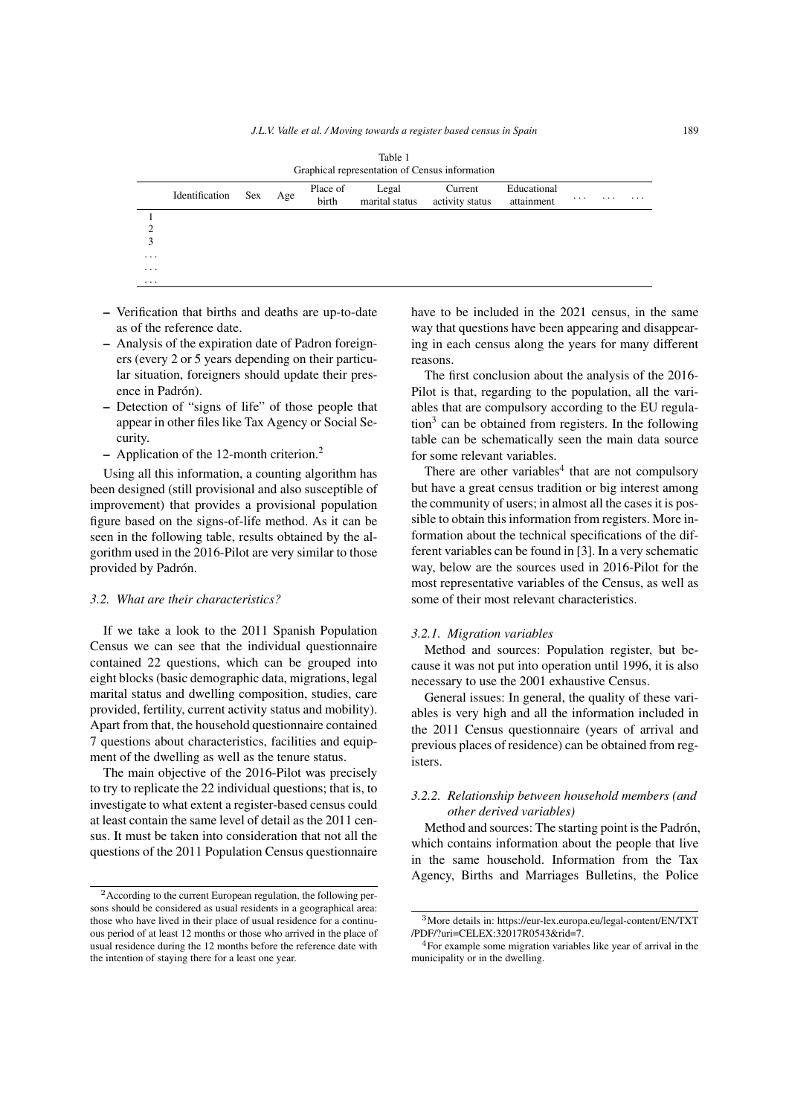|                         | Table 1<br>Graphical representation of Census information |     |     |                   |                         |                            |                           |                         |   |   |
|-------------------------|-----------------------------------------------------------|-----|-----|-------------------|-------------------------|----------------------------|---------------------------|-------------------------|---|---|
|                         | Identification                                            | Sex | Age | Place of<br>birth | Legal<br>marital status | Current<br>activity status | Educational<br>attainment | $\cdot$ $\cdot$ $\cdot$ | . | . |
|                         |                                                           |     |     |                   |                         |                            |                           |                         |   |   |
| ◠                       |                                                           |     |     |                   |                         |                            |                           |                         |   |   |
| 3                       |                                                           |     |     |                   |                         |                            |                           |                         |   |   |
| $\cdot$ $\cdot$ $\cdot$ |                                                           |     |     |                   |                         |                            |                           |                         |   |   |
| $\cdot$ $\cdot$ $\cdot$ |                                                           |     |     |                   |                         |                            |                           |                         |   |   |
| $\cdots$                |                                                           |     |     |                   |                         |                            |                           |                         |   |   |

- Verification that births and deaths are up-to-date as of the reference date.
- Analysis of the expiration date of Padron foreigners (every 2 or 5 years depending on their particular situation, foreigners should update their presence in Padrón).
- Detection of "signs of life" of those people that appear in other files like Tax Agency or Social Security.
- Application of the 12-month criterion.[2](#page-2-0)

Using all this information, a counting algorithm has been designed (still provisional and also susceptible of improvement) that provides a provisional population figure based on the signs-of-life method. As it can be seen in the following table, results obtained by the algorithm used in the 2016-Pilot are very similar to those provided by Padrón.

## *3.2. What are their characteristics?*

If we take a look to the 2011 Spanish Population Census we can see that the individual questionnaire contained 22 questions, which can be grouped into eight blocks (basic demographic data, migrations, legal marital status and dwelling composition, studies, care provided, fertility, current activity status and mobility). Apart from that, the household questionnaire contained 7 questions about characteristics, facilities and equipment of the dwelling as well as the tenure status.

The main objective of the 2016-Pilot was precisely to try to replicate the 22 individual questions; that is, to investigate to what extent a register-based census could at least contain the same level of detail as the 2011 census. It must be taken into consideration that not all the questions of the 2011 Population Census questionnaire have to be included in the 2021 census, in the same way that questions have been appearing and disappearing in each census along the years for many different reasons.

The first conclusion about the analysis of the 2016- Pilot is that, regarding to the population, all the variables that are compulsory according to the EU regula- $\text{tion}^3$  $\text{tion}^3$  can be obtained from registers. In the following table can be schematically seen the main data source for some relevant variables.

There are other variables<sup>[4](#page-2-2)</sup> that are not compulsory but have a great census tradition or big interest among the community of users; in almost all the cases it is possible to obtain this information from registers. More information about the technical specifications of the different variables can be found in [\[3\]](#page-5-2). In a very schematic way, below are the sources used in 2016-Pilot for the most representative variables of the Census, as well as some of their most relevant characteristics.

#### *3.2.1. Migration variables*

Method and sources: Population register, but because it was not put into operation until 1996, it is also necessary to use the 2001 exhaustive Census.

General issues: In general, the quality of these variables is very high and all the information included in the 2011 Census questionnaire (years of arrival and previous places of residence) can be obtained from registers.

# *3.2.2. Relationship between household members (and other derived variables)*

Method and sources: The starting point is the Padrón, which contains information about the people that live in the same household. Information from the Tax Agency, Births and Marriages Bulletins, the Police

<span id="page-2-0"></span><sup>2</sup>According to the current European regulation, the following persons should be considered as usual residents in a geographical area: those who have lived in their place of usual residence for a continuous period of at least 12 months or those who arrived in the place of usual residence during the 12 months before the reference date with the intention of staying there for a least one year.

<span id="page-2-1"></span><sup>3</sup>More details in: https://eur-lex.europa.eu/legal-content/EN/TXT /PDF/?uri=CELEX:32017R0543&rid=7.

<span id="page-2-2"></span><sup>4</sup>For example some migration variables like year of arrival in the municipality or in the dwelling.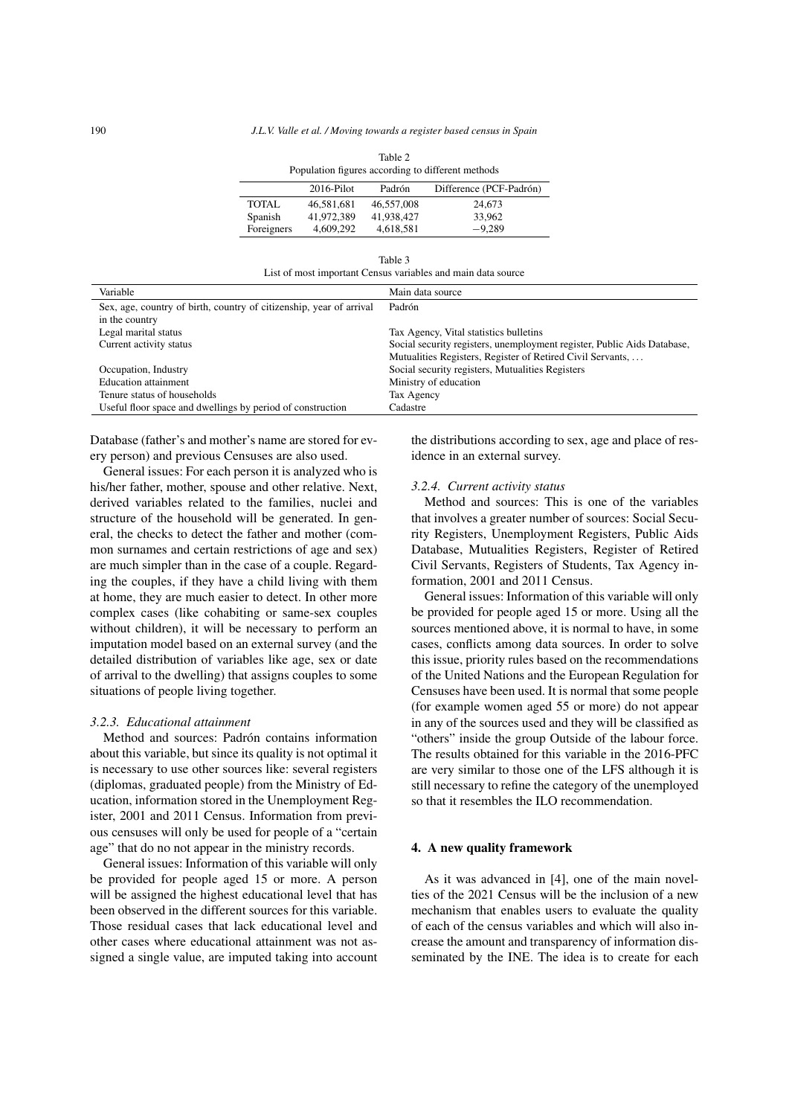| Population figures according to different methods |               |            |                         |  |  |  |  |
|---------------------------------------------------|---------------|------------|-------------------------|--|--|--|--|
|                                                   | $2016$ -Pilot | Padrón     | Difference (PCF-Padrón) |  |  |  |  |
| <b>TOTAL</b>                                      | 46.581.681    | 46,557,008 | 24,673                  |  |  |  |  |
| Spanish                                           | 41.972.389    | 41.938.427 | 33.962                  |  |  |  |  |
| Foreigners                                        | 4.609.292     | 4,618,581  | $-9.289$                |  |  |  |  |

| Table 3                                                      |  |  |  |  |  |  |
|--------------------------------------------------------------|--|--|--|--|--|--|
| List of most important Census variables and main data source |  |  |  |  |  |  |

| Variable                                                            | Main data source                                                        |
|---------------------------------------------------------------------|-------------------------------------------------------------------------|
| Sex, age, country of birth, country of citizenship, year of arrival | Padrón                                                                  |
| in the country                                                      |                                                                         |
| Legal marital status                                                | Tax Agency, Vital statistics bulletins                                  |
| Current activity status                                             | Social security registers, unemployment register, Public Aids Database, |
|                                                                     | Mutualities Registers, Register of Retired Civil Servants,              |
| Occupation, Industry                                                | Social security registers, Mutualities Registers                        |
| <b>Education attainment</b>                                         | Ministry of education                                                   |
| Tenure status of households                                         | Tax Agency                                                              |
| Useful floor space and dwellings by period of construction          | Cadastre                                                                |

Database (father's and mother's name are stored for every person) and previous Censuses are also used.

General issues: For each person it is analyzed who is his/her father, mother, spouse and other relative. Next, derived variables related to the families, nuclei and structure of the household will be generated. In general, the checks to detect the father and mother (common surnames and certain restrictions of age and sex) are much simpler than in the case of a couple. Regarding the couples, if they have a child living with them at home, they are much easier to detect. In other more complex cases (like cohabiting or same-sex couples without children), it will be necessary to perform an imputation model based on an external survey (and the detailed distribution of variables like age, sex or date of arrival to the dwelling) that assigns couples to some situations of people living together.

## *3.2.3. Educational attainment*

Method and sources: Padrón contains information about this variable, but since its quality is not optimal it is necessary to use other sources like: several registers (diplomas, graduated people) from the Ministry of Education, information stored in the Unemployment Register, 2001 and 2011 Census. Information from previous censuses will only be used for people of a "certain age" that do no not appear in the ministry records.

General issues: Information of this variable will only be provided for people aged 15 or more. A person will be assigned the highest educational level that has been observed in the different sources for this variable. Those residual cases that lack educational level and other cases where educational attainment was not assigned a single value, are imputed taking into account the distributions according to sex, age and place of residence in an external survey.

#### *3.2.4. Current activity status*

Method and sources: This is one of the variables that involves a greater number of sources: Social Security Registers, Unemployment Registers, Public Aids Database, Mutualities Registers, Register of Retired Civil Servants, Registers of Students, Tax Agency information, 2001 and 2011 Census.

General issues: Information of this variable will only be provided for people aged 15 or more. Using all the sources mentioned above, it is normal to have, in some cases, conflicts among data sources. In order to solve this issue, priority rules based on the recommendations of the United Nations and the European Regulation for Censuses have been used. It is normal that some people (for example women aged 55 or more) do not appear in any of the sources used and they will be classified as "others" inside the group Outside of the labour force. The results obtained for this variable in the 2016-PFC are very similar to those one of the LFS although it is still necessary to refine the category of the unemployed so that it resembles the ILO recommendation.

# 4. A new quality framework

As it was advanced in [\[4\]](#page-5-3), one of the main novelties of the 2021 Census will be the inclusion of a new mechanism that enables users to evaluate the quality of each of the census variables and which will also increase the amount and transparency of information disseminated by the INE. The idea is to create for each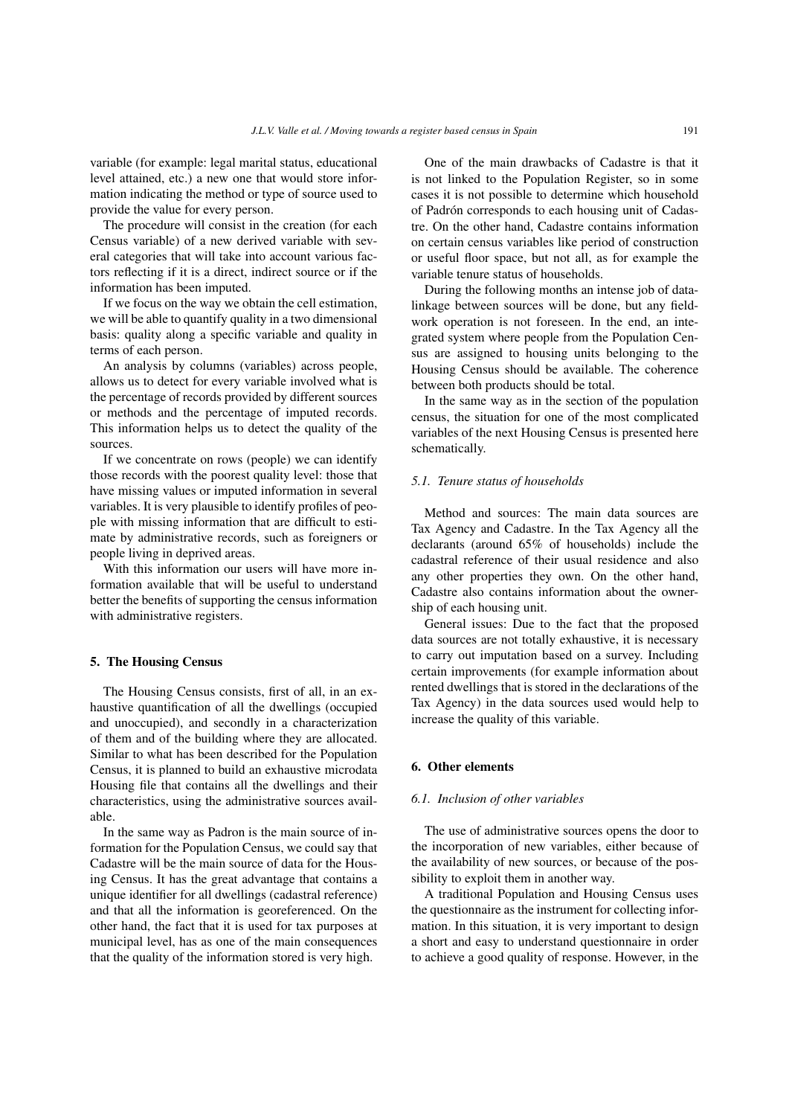variable (for example: legal marital status, educational level attained, etc.) a new one that would store information indicating the method or type of source used to provide the value for every person.

The procedure will consist in the creation (for each Census variable) of a new derived variable with several categories that will take into account various factors reflecting if it is a direct, indirect source or if the information has been imputed.

If we focus on the way we obtain the cell estimation, we will be able to quantify quality in a two dimensional basis: quality along a specific variable and quality in terms of each person.

An analysis by columns (variables) across people, allows us to detect for every variable involved what is the percentage of records provided by different sources or methods and the percentage of imputed records. This information helps us to detect the quality of the sources.

If we concentrate on rows (people) we can identify those records with the poorest quality level: those that have missing values or imputed information in several variables. It is very plausible to identify profiles of people with missing information that are difficult to estimate by administrative records, such as foreigners or people living in deprived areas.

With this information our users will have more information available that will be useful to understand better the benefits of supporting the census information with administrative registers.

#### 5. The Housing Census

The Housing Census consists, first of all, in an exhaustive quantification of all the dwellings (occupied and unoccupied), and secondly in a characterization of them and of the building where they are allocated. Similar to what has been described for the Population Census, it is planned to build an exhaustive microdata Housing file that contains all the dwellings and their characteristics, using the administrative sources available.

In the same way as Padron is the main source of information for the Population Census, we could say that Cadastre will be the main source of data for the Housing Census. It has the great advantage that contains a unique identifier for all dwellings (cadastral reference) and that all the information is georeferenced. On the other hand, the fact that it is used for tax purposes at municipal level, has as one of the main consequences that the quality of the information stored is very high.

One of the main drawbacks of Cadastre is that it is not linked to the Population Register, so in some cases it is not possible to determine which household of Padrón corresponds to each housing unit of Cadastre. On the other hand, Cadastre contains information on certain census variables like period of construction or useful floor space, but not all, as for example the variable tenure status of households.

During the following months an intense job of datalinkage between sources will be done, but any fieldwork operation is not foreseen. In the end, an integrated system where people from the Population Census are assigned to housing units belonging to the Housing Census should be available. The coherence between both products should be total.

In the same way as in the section of the population census, the situation for one of the most complicated variables of the next Housing Census is presented here schematically.

## *5.1. Tenure status of households*

Method and sources: The main data sources are Tax Agency and Cadastre. In the Tax Agency all the declarants (around 65% of households) include the cadastral reference of their usual residence and also any other properties they own. On the other hand, Cadastre also contains information about the ownership of each housing unit.

General issues: Due to the fact that the proposed data sources are not totally exhaustive, it is necessary to carry out imputation based on a survey. Including certain improvements (for example information about rented dwellings that is stored in the declarations of the Tax Agency) in the data sources used would help to increase the quality of this variable.

## 6. Other elements

#### *6.1. Inclusion of other variables*

The use of administrative sources opens the door to the incorporation of new variables, either because of the availability of new sources, or because of the possibility to exploit them in another way.

A traditional Population and Housing Census uses the questionnaire as the instrument for collecting information. In this situation, it is very important to design a short and easy to understand questionnaire in order to achieve a good quality of response. However, in the